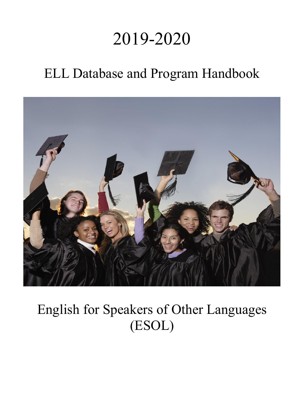# 2019-2020

# ELL Database and Program Handbook



# English for Speakers of Other Languages (ESOL)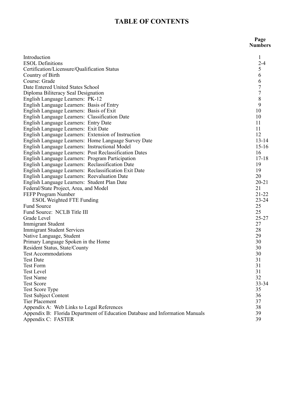# **TABLE OF CONTENTS**

 **Page Numbers**

| Introduction                                                                 | $\mathbf{1}$   |
|------------------------------------------------------------------------------|----------------|
| <b>ESOL Definitions</b>                                                      | $2 - 4$        |
| Certification/Licensure/Qualification Status                                 | $\frac{5}{6}$  |
| Country of Birth                                                             |                |
| Course: Grade                                                                | 6              |
| Date Entered United States School                                            | $\overline{7}$ |
| Diploma Biliteracy Seal Designation                                          | $\overline{7}$ |
| English Language Learners: PK-12                                             | 8              |
| English Language Learners: Basis of Entry                                    | 9              |
| English Language Learners: Basis of Exit                                     | 10             |
| English Language Learners: Classification Date                               | 10             |
| English Language Learners: Entry Date                                        | 11             |
| English Language Learners: Exit Date                                         | 11             |
| English Language Learners: Extension of Instruction                          | 12             |
| English Language Learners: Home Language Survey Date                         | $13 - 14$      |
| English Language Learners: Instructional Model                               | $15 - 16$      |
| English Language Learners: Post Reclassification Dates                       | 16             |
| English Language Learners: Program Participation                             | $17 - 18$      |
| English Language Learners: Reclassification Date                             | 19             |
| English Language Learners: Reclassification Exit Date                        | 19             |
| English Language Learners: Reevaluation Date                                 | 20             |
| English Language Learners: Student Plan Date                                 | $20 - 21$      |
| Federal/State Project, Area, and Model                                       | 21             |
| FEFP Program Number                                                          | $21 - 22$      |
| <b>ESOL Weighted FTE Funding</b>                                             | $23 - 24$      |
| <b>Fund Source</b>                                                           | 25             |
| Fund Source: NCLB Title III                                                  | 25             |
| Grade Level                                                                  | $25 - 27$      |
| <b>Immigrant Student</b>                                                     | 27             |
| <b>Immigrant Student Services</b>                                            | 28             |
| Native Language, Student                                                     | 29             |
| Primary Language Spoken in the Home                                          | 30             |
| Resident Status, State/County                                                | 30             |
| <b>Test Accommodations</b>                                                   | 30             |
| <b>Test Date</b>                                                             | 31             |
| <b>Test Form</b>                                                             | 31             |
| <b>Test Level</b>                                                            | 31             |
| Test Name                                                                    | 32             |
| <b>Test Score</b>                                                            | 33-34          |
| <b>Test Score Type</b>                                                       | 35             |
| <b>Test Subject Content</b>                                                  | 36             |
| <b>Tier Placement</b>                                                        | 37             |
| Appendix A: Web Links to Legal References                                    | 38             |
| Appendix B: Florida Department of Education Database and Information Manuals | 39             |
| Appendix C: FASTER                                                           | 39             |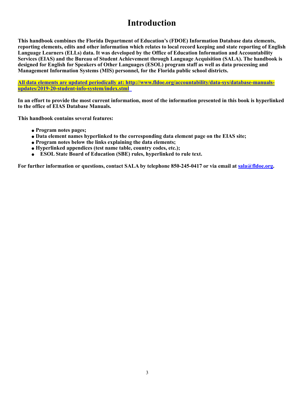# **Introduction**

**This handbook combines the Florida Department of Education's (FDOE) Information Database data elements, reporting elements, edits and other information which relates to local record keeping and state reporting of English Language Learners (ELLs) data. It was developed by the Office of Education Information and Accountability Services (EIAS) and the Bureau of Student Achievement through Language Acquisition (SALA). The handbook is designed for English for Speakers of Other Languages (ESOL) program staff as well as data processing and Management Information Systems (MIS) personnel, for the Florida public school districts.** 

**[All data elements are updated periodically at: http://www.fldoe.org/accountability/data-sys/database-manuals](http://www.fldoe.org/accountability/data-sys/database-manuals-updates/2019-20-student-info-system/index.stml)[updates/2019-20-student-info-system/index.stml](http://www.fldoe.org/accountability/data-sys/database-manuals-updates/2019-20-student-info-system/index.stml)** 

**In an effort to provide the most current information, most of the information presented in this book is hyperlinked to the office of EIAS Database Manuals.** 

**This handbook contains several features:** 

- ! **Program notes pages;**
- ! **Data element names hyperlinked to the corresponding data element page on the EIAS site;**
- ! **Program notes below the links explaining the data elements;**
- ! **Hyperlinked appendices (test name table, country codes, etc.);**
- ! **ESOL State Board of Education (SBE) rules, hyperlinked to rule text.**

For further information or questions, contact SALA by telephone 850-245-0417 or via email at [sala@fldoe.org](mailto:sala@fldoe.org).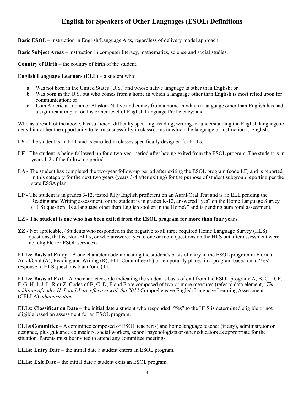# **English for Speakers of Other Languages (ESOL) Definitions**

**Basic ESOL** – instruction in English/Language Arts, regardless of delivery model approach.

**Basic Subject Areas** – instruction in computer literacy, mathematics, science and social studies.

**Country of Birth** – the country of birth of the student.

**English Language Learners (ELL)** – a student who:

- a. Was not born in the United States (U.S.) and whose native language is other than English; or
- b. Was born in the U.S. but who comes from a home in which a language other than English is most relied upon for communication; or
- c. Is an American Indian or Alaskan Native and comes from a home in which a language other than English has had a significant impact on his or her level of English Language Proficiency; and

Who as a result of the above, has sufficient difficulty speaking, reading, writing, or understanding the English language to deny him or her the opportunity to learn successfully in classrooms in which the language of instruction is English.

- **LY** The student is an ELL and is enrolled in classes specifically designed for ELLs.
- **LF** The student is being followed up for a two-year period after having exited from the ESOL program. The student is in years 1-2 of the follow-up period.
- LA The student has completed the two-year follow-up period after exiting the ESOL program (code LF) and is reported in this category for the next two years (years 3-4 after exiting) for the purpose of student subgroup reporting per the state ESSA plan.
- **LP** The student is in grades 3-12, tested fully English proficient on an Aural/Oral Test and is an ELL pending the Reading and Writing assessment, or the student is in grades K-12, answered "yes" on the Home Language Survey (HLS) question "Is a language other than English spoken in the Home?" and is pending aural/oral assessment.

# **LZ - The student is one who has been exited from the ESOL program for more than four years.**

**ZZ** - Not applicable. (Students who responded in the negative to all three required Home Language Survey (HLS) questions, that is, Non-ELLs, or who answered yes to one or more questions on the HLS but after assessment were not eligible for ESOL services).

**ELLs: Basis of Entry** – A one character code indicating the student's basis of entry in the ESOL program in Florida: Aural/Oral (A); Reading and Writing (R); ELL Committee (L) or temporarily placed in a program based on a "Yes" response to HLS questions b and/or c (T).

**ELLs: Basis of Exit** – A one character code indicating the student's basis of exit from the ESOL program: A, B, C, D, E, F, G, H, I, J, L, R or Z. Codes of B, C, D, E and F are composed of two or more measures (refer to data element). *The addition of codes H, I, and J are effective with the 2012* Comprehensive English Language Learning Assessment (CELLA) *administration.*

**ELLs: Classification Date** – the initial date a student who responded "Yes" to the HLS is determined eligible or not eligible based on assessment for an ESOL program.

**ELLs Committee** – A committee composed of ESOL teacher(s) and home language teacher (if any), administrator or designee, plus guidance counselors, social workers, school psychologists or other educators as appropriate for the situation. Parents must be invited to attend any committee meetings.

**ELLs: Entry Date** – the initial date a student enters an ESOL program.

**ELLs: Exit Date** – the initial date a student exits an ESOL program.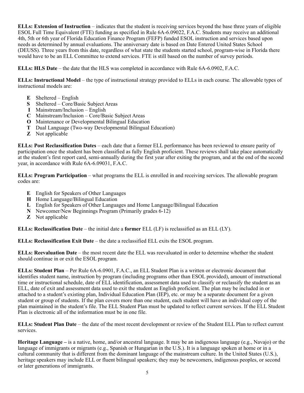**ELLs: Extension of Instruction** – indicates that the student is receiving services beyond the base three years of eligible ESOL Full Time Equivalent (FTE) funding as specified in Rule 6A-6.09022, F.A.C. Students may receive an additional 4th, 5th or 6th year of Florida Education Finance Program (FEFP) funded ESOL instruction and services based upon needs as determined by annual evaluations. The anniversary date is based on Date Entered United States School (DEUSS). Three years from this date, regardless of what state the students started school, program-wise in Florida there would have to be an ELL Committee to extend services. FTE is still based on the number of survey periods.

**ELLs: HLS Date** – the date that the HLS was completed in accordance with Rule 6A-6.0902, F.A.C.

**ELLs: Instructional Model** – the type of instructional strategy provided to ELLs in each course. The allowable types of instructional models are:

- **E** Sheltered English
- **S** Sheltered Core/Basic Subject Areas
- **I** Mainstream/Inclusion English
- **C** Mainstream/Inclusion Core/Basic Subject Areas
- **O** Maintenance or Developmental Bilingual Education
- **T** Dual Language (Two-way Developmental Bilingual Education)
- **Z** Not applicable

**ELLs: Post Reclassification Dates** – each date that a former ELL performance has been reviewed to ensure parity of participation once the student has been classified as fully English proficient. These reviews shall take place automatically at the student's first report card, semi-annually during the first year after exiting the program, and at the end of the second year, in accordance with Rule 6A-6.09031, F.A.C.

**ELLs: Program Participation** – what programs the ELL is enrolled in and receiving services. The allowable program codes are:

- **E** English for Speakers of Other Languages
- **H** Home Language/Bilingual Education
- **L** English for Speakers of Other Languages and Home Language/Bilingual Education
- **N** Newcomer/New Beginnings Program (Primarily grades 6-12)
- **Z** Not applicable

**ELLs: Reclassification Date** – the initial date a **former** ELL (LF) is reclassified as an ELL (LY).

**ELLs: Reclassification Exit Date** – the date a reclassified ELL exits the ESOL program.

**ELLs: Reevaluation Date** – the most recent date the ELL was reevaluated in order to determine whether the student should continue in or exit the ESOL program.

**ELLs: Student Plan** – Per Rule 6A-6.0901, F.A.C., an ELL Student Plan is a written or electronic document that identifies student name, instruction by program (including programs other than ESOL provided), amount of instructional time or instructional schedule, date of ELL identification, assessment data used to classify or reclassify the student as an ELL, date of exit and assessment data used to exit the student as English proficient. The plan may be included in or attached to a student's existing plan, Individual Education Plan (IEP), etc. or may be a separate document for a given student or group of students. If the plan covers more than one student, each student will have an individual copy of the plan maintained in the student's file. The ELL Student Plan must be updated to reflect current services. If the ELL Student Plan is electronic all of the information must be in one file.

**ELLs: Student Plan Date** – the date of the most recent development or review of the Student ELL Plan to reflect current services.

**Heritage Language –** is a native, home, and/or ancestral language. It may be an indigenous language (e.g., Navajo) or the language of immigrants or migrants (e.g., Spanish or Hungarian in the U.S.). It is a language spoken at home or in a cultural community that is different from the dominant language of the mainstream culture. In the United States (U.S.), heritage speakers may include ELL or fluent bilingual speakers; they may be newcomers, indigenous peoples, or second or later generations of immigrants.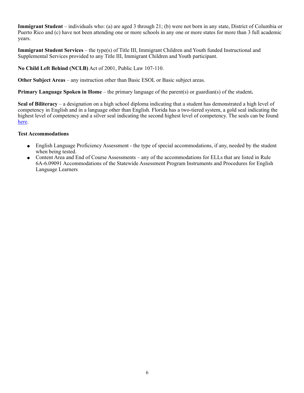**Immigrant Student** – individuals who: (a) are aged 3 through 21; (b) were not born in any state, District of Columbia or Puerto Rico and (c) have not been attending one or more schools in any one or more states for more than 3 full academic years.

**Immigrant Student Services** – the type(s) of Title III, Immigrant Children and Youth funded Instructional and Supplemental Services provided to any Title III, Immigrant Children and Youth participant.

**No Child Left Behind (NCLB)** Act of 2001, Public Law 107-110.

**Other Subject Areas** – any instruction other than Basic ESOL or Basic subject areas.

**Primary Language Spoken in Home** – the primary language of the parent(s) or guardian(s) of the student**.**

**Seal of Biliteracy** – a designation on a high school diploma indicating that a student has demonstrated a high level of competency in English and in a language other than English. Florida has a two-tiered system, a gold seal indicating the highest level of competency and a silver seal indicating the second highest level of competency. The seals can be found [here.](http://www.fldoe.org/academics/eng-language-learners/world-languages-foreign-languages.stml)

# **Test Accommodations**

- English Language Proficiency Assessment the type of special accommodations, if any, needed by the student when being tested.
- ! Content Area and End of Course Assessments any of the accommodations for ELLs that are listed in Rule 6A-6.09091 Accommodations of the Statewide Assessment Program Instruments and Procedures for English Language Learners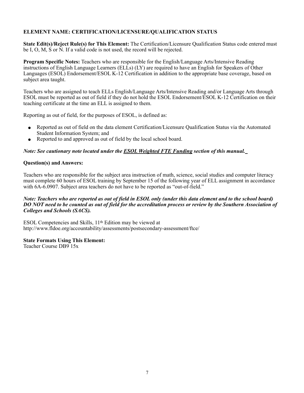# **ELEMENT NAME: CERTIFICATION/LICENSURE/QUALIFICATION STATUS**

**State Edit(s)/Reject Rule(s) for This Element:** The Certification/Licensure Qualification Status code entered must be I, O, M, S or N. If a valid code is not used, the record will be rejected.

**Program Specific Notes:** Teachers who are responsible for the English/Language Arts/Intensive Reading instructions of English Language Learners (ELLs) (LY) are required to have an English for Speakers of Other Languages (ESOL) Endorsement/ESOL K-12 Certification in addition to the appropriate base coverage, based on subject area taught.

Teachers who are assigned to teach ELLs English/Language Arts/Intensive Reading and/or Language Arts through ESOL must be reported as out of field if they do not hold the ESOL Endorsement/ESOL K-12 Certification on their teaching certificate at the time an ELL is assigned to them.

Reporting as out of field, for the purposes of ESOL, is defined as:

- ! Reported as out of field on the data element Certification/Licensure Qualification Status via the Automated Student Information System; and
- Reported to and approved as out of field by the local school board.

# *Note: See cautionary note located under the ESOL Weighted FTE Funding section of this manual.*

#### **Question(s) and Answers:**

Teachers who are responsible for the subject area instruction of math, science, social studies and computer literacy must complete 60 hours of ESOL training by September 15 of the following year of ELL assignment in accordance with 6A-6.0907. Subject area teachers do not have to be reported as "out-of-field."

#### *Note: Teachers who are reported as out of field in ESOL only (under this data element and to the school board) DO NOT need to be counted as out of field for the accreditation process or review by the Southern Association of Colleges and Schools (SACS).*

ESOL Competencies and Skills, 11th Edition may be viewed at http://www.fldoe.org/accountability/assessments/postsecondary-assessment/ftce/

#### **State Formats Using This Element:** Teacher Course DB9 15x

7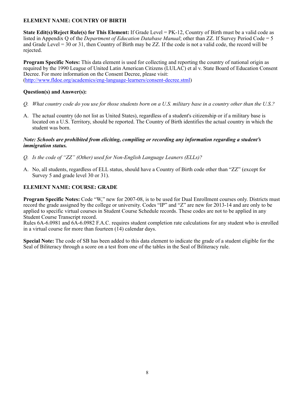# **ELEMENT NAME: COUNTRY OF BIRTH**

**State Edit(s)/Reject Rule(s) for This Element:** If Grade Level = PK-12, Country of Birth must be a valid code as listed in Appendix Q of the *Department of Education Database Manual*; other than ZZ. If Survey Period Code = 5 and Grade Level = 30 or 31, then Country of Birth may be ZZ. If the code is not a valid code, the record will be rejected.

**Program Specific Notes:** This data element is used for collecting and reporting the country of national origin as required by the 1990 League of United Latin American Citizens (LULAC) et al v. State Board of Education Consent Decree. For more information on the Consent Decree, please visit: [\(http://www.fldoe.org/academics/eng-language-learners/consent-decree.stml\)](http://www.fldoe.org/academics/eng-language-learners/consent-decree.stml)

# **Question(s) and Answer(s):**

- *Q. What country code do you use for those students born on a U.S. military base in a country other than the U.S.?*
- A. The actual country (do not list as United States), regardless of a student's citizenship or if a military base is located on a U.S. Territory, should be reported. The Country of Birth identifies the actual country in which the student was born.

#### *Note: Schools are prohibited from eliciting, compiling or recording any information regarding a student's immigration status.*

- *Q. Is the code of "ZZ" (Other) used for Non-English Language Leaners (ELLs)?*
- A. No, all students, regardless of ELL status, should have a Country of Birth code other than "ZZ" (except for Survey 5 and grade level 30 or 31).

# **ELEMENT NAME: COURSE: GRADE**

**Program Specific Notes:** Code "W," new for 2007-08, is to be used for Dual Enrollment courses only. Districts must record the grade assigned by the college or university. Codes "IP" and "Z" are new for 2013-14 and are only to be applied to specific virtual courses in Student Course Schedule records. These codes are not to be applied in any Student Course Transcript record.

Rules 6A-6.0981 and 6A-6.0982 F.A.C. requires student completion rate calculations for any student who is enrolled in a virtual course for more than fourteen  $(14)$  calendar days.

**Special Note:** The code of SB has been added to this data element to indicate the grade of a student eligible for the Seal of Biliteracy through a score on a test from one of the tables in the Seal of Biliteracy rule.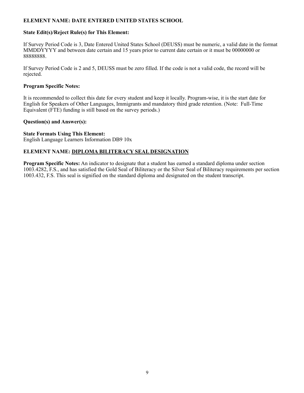# **ELEMENT NAME: DATE ENTERED UNITED STATES SCHOOL**

# **State Edit(s)/Reject Rule(s) for This Element:**

If Survey Period Code is 3, Date Entered United States School (DEUSS) must be numeric, a valid date in the format MMDDYYYY and between date certain and 15 years prior to current date certain or it must be 00000000 or 8888888.

If Survey Period Code is 2 and 5, DEUSS must be zero filled. If the code is not a valid code, the record will be rejected.

# **Program Specific Notes:**

It is recommended to collect this date for every student and keep it locally. Program-wise, it is the start date for English for Speakers of Other Languages, Immigrants and mandatory third grade retention. (Note: Full-Time Equivalent (FTE) funding is still based on the survey periods.)

# **Question(s) and Answer(s):**

# **State Formats Using This Element:**

English Language Learners Information DB9 10x

# **ELEMENT NAME: DIPLOMA BILITERACY SEAL DESIGNATION**

**Program Specific Notes:** An indicator to designate that a student has earned a standard diploma under section 1003.4282, F.S., and has satisfied the Gold Seal of Biliteracy or the Silver Seal of Biliteracy requirements per section 1003.432, F.S. This seal is signified on the standard diploma and designated on the student transcript.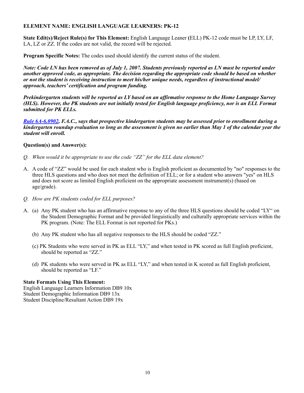# **ELEMENT NAME: ENGLISH LANGUAGE LEARNERS: PK-12**

**State Edit(s)/Reject Rule(s) for This Element:** English Language Leaner **(**ELL) PK-12 code must be LP, LY, LF, LA, LZ or ZZ. If the codes are not valid, the record will be rejected.

**Program Specific Notes:** The codes used should identify the current status of the student.

*Note: Code LN has been removed as of July 1, 2007. Students previously reported as LN must be reported under another approved code, as appropriate. The decision regarding the appropriate code should be based on whether or not the student is receiving instruction to meet his/her unique needs, regardless of instructional model/ approach, teachers' certification and program funding.*

*Prekindergarten students will be reported as LY based on an affirmative response to the Home Language Survey (HLS). However, the PK students are not initially tested for English language proficiency, nor is an ELL Format submitted for PK ELLs.*

*[Rule 6A-6.0902,](https://www.flrules.org/gateway/RuleNo.asp?title=SPECIAL%2520PROGRAMS%2520I&ID=6A-6.0902) F.A.C., says that prospective kindergarten students may be assessed prior to enrollment during a kindergarten roundup evaluation so long as the assessment is given no earlier than May 1 of the calendar year the student will enroll.*

#### **Question(s) and Answer(s):**

- *Q. When would it be appropriate to use the code "ZZ" for the ELL data element?*
- A. A code of "ZZ" would be used for each student who is English proficient as documented by "no" responses to the three HLS questions and who does not meet the definition of ELL; or for a student who answers "yes" on HLS and does not score as limited English proficient on the appropriate assessment instrument(s) (based on age/grade).
- *Q. How are PK students coded for ELL purposes?*
- A. (a) Any PK student who has an affirmative response to any of the three HLS questions should be coded "LY" on the Student Demographic Format and be provided linguistically and culturally appropriate services within the PK program. (Note: The ELL Format is not reported for PKs.)
	- (b) Any PK student who has all negative responses to the HLS should be coded "ZZ."
	- (c) PK Students who were served in PK as ELL "LY," and when tested in PK scored as full English proficient, should be reported as "ZZ."
	- (d) PK students who were served in PK as ELL "LY," and when tested in K scored as full English proficient, should be reported as "LF."

#### **State Formats Using This Element:**

English Language Learners Information DB9 10x Student Demographic Information DB9 13x Student Discipline/Resultant Action DB9 19x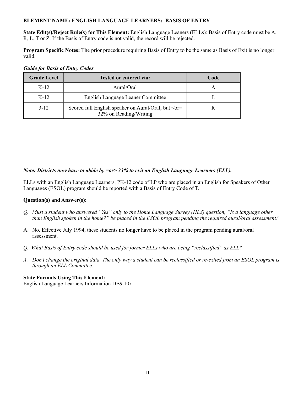# **ELEMENT NAME: ENGLISH LANGUAGE LEARNERS: BASIS OF ENTRY**

**State Edit(s)/Reject Rule(s) for This Element:** English Language Leaners (ELLs): Basis of Entry code must be A, R, L, T or Z. If the Basis of Entry code is not valid, the record will be rejected.

**Program Specific Notes:** The prior procedure requiring Basis of Entry to be the same as Basis of Exit is no longer valid.

| <b>Grade Level</b> | Tested or entered via:                                                                 | Code |
|--------------------|----------------------------------------------------------------------------------------|------|
| $K-12$             | Aural/Oral                                                                             |      |
| $K-12$             | English Language Leaner Committee                                                      |      |
| $3 - 12$           | Scored full English speaker on Aural/Oral; but <or-<br>32% on Reading/Writing</or-<br> |      |

# *Guide for Basis of Entry Codes*

# *Note: Districts now have to abide by =or> 33% to exit an English Language Learners (ELL).*

ELLs with an English Language Learners, PK-12 code of LP who are placed in an English for Speakers of Other Languages (ESOL) program should be reported with a Basis of Entry Code of T.

# **Question(s) and Answer(s):**

- *Q. Must a student who answered "Yes" only to the Home Language Survey (HLS) question, "Is a language other than English spoken in the home?" be placed in the ESOL program pending the required aural/oral assessment?*
- A. No. Effective July 1994, these students no longer have to be placed in the program pending aural/oral assessment.
- *Q. What Basis of Entry code should be used for former ELLs who are being "reclassified" as ELL?*
- *A. Don't change the original data. The only way a student can be reclassified or re-exited from an ESOL program is through an ELL Committee.*

# **State Formats Using This Element:**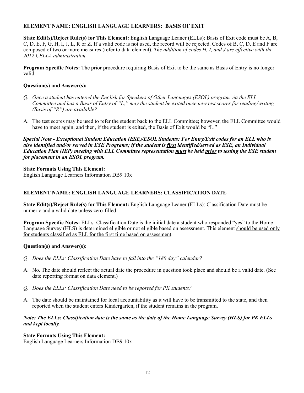# **ELEMENT NAME: ENGLISH LANGUAGE LEARNERS: BASIS OF EXIT**

**State Edit(s)/Reject Rule(s) for This Element:** English Language Leaner (ELLs): Basis of Exit code must be A, B, C, D, E, F, G, H, I, J, L, R or Z. If a valid code is not used, the record will be rejected. Codes of B, C, D, E and F are composed of two or more measures (refer to data element). *The addition of codes H, I, and J are effective with the 2012 CELLA administration.*

**Program Specific Notes:** The prior procedure requiring Basis of Exit to be the same as Basis of Entry is no longer valid.

# **Question(s) and Answer(s):**

- *Q. Once a student has entered the English for Speakers of Other Languages (ESOL) program via the ELL Committee and has a Basis of Entry of "L," may the student be exited once new test scores for reading/writing (Basis of "R") are available?*
- A. The test scores may be used to refer the student back to the ELL Committee; however, the ELL Committee would have to meet again, and then, if the student is exited, the Basis of Exit would be "L."

*Special Note - Exceptional Student Education (ESE)/ESOL Students: For Entry/Exit codes for an ELL who is also identified and/or served in ESE Programs; if the student is first identified/served as ESE, an Individual Education Plan (IEP) meeting with ELL Committee representation must be held prior to testing the ESE student for placement in an ESOL program.*

# **State Formats Using This Element:**

English Language Learners Information DB9 10x

# **ELEMENT NAME: ENGLISH LANGUAGE LEARNERS: CLASSIFICATION DATE**

**State Edit(s)/Reject Rule(s) for This Element:** English Language Leaner (ELLs): Classification Date must be numeric and a valid date unless zero-filled.

**Program Specific Notes:** ELLs: Classification Date is the initial date a student who responded "yes" to the Home Language Survey (HLS) is determined eligible or not eligible based on assessment. This element should be used only for students classified as ELL for the first time based on assessment.

# **Question(s) and Answer(s):**

- *Q Does the ELLs: Classification Date have to fall into the "180 day" calendar?*
- A. No. The date should reflect the actual date the procedure in question took place and should be a valid date. (See date reporting format on data element.)
- *Q. Does the ELLs: Classification Date need to be reported for PK students?*
- A. The date should be maintained for local accountability as it will have to be transmitted to the state, and then reported when the student enters Kindergarten, if the student remains in the program.

# *Note: The ELLs: Classification date is the same as the date of the Home Language Survey (HLS) for PK ELLs and kept locally.*

# **State Formats Using This Element:**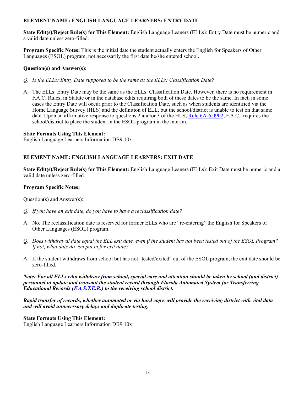# **ELEMENT NAME: ENGLISH LANGUAGE LEARNERS: ENTRY DATE**

**State Edit(s)/Reject Rule(s) for This Element:** English Language Leaners **(**ELLs): Entry Date must be numeric and a valid date unless zero-filled.

**Program Specific Notes:** This is the initial date the student actually enters the English for Speakers of Other Languages (ESOL) program, not necessarily the first date he/she entered school.

# **Question(s) and Answer(s):**

- *Q. Is the ELLs: Entry Date supposed to be the same as the ELLs: Classification Date?*
- A. The ELLs: Entry Date may be the same as the ELLs: Classification Date. However, there is no requirement in F.A.C. Rules, in Statute or in the database edits requiring both of these dates to be the same. In fact, in some cases the Entry Date will occur prior to the Classification Date, such as when students are identified via the Home Language Survey (HLS) and the definition of ELL, but the school/district is unable to test on that same date. Upon an affirmative response to questions 2 and/or 3 of the HLS, [Rule 6A-6.0902](https://www.flrules.org/gateway/RuleNo.asp?title=SPECIAL%2520PROGRAMS%2520I&ID=6A-6.0902), F.A.C., requires the school/district to place the student in the ESOL program in the interim.

# **State Formats Using This Element:**

English Language Learners Information DB9 10x

# **ELEMENT NAME: ENGLISH LANGUAGE LEARNERS: EXIT DATE**

**State Edit(s)/Reject Rule(s) for This Element:** English Language Leaners (ELLs): Exit Date must be numeric and a valid date unless zero-filled.

# **Program Specific Notes:**

Question(s) and Answer(s):

- *Q. If you have an exit date, do you have to have a reclassification date?*
- A. No. The reclassification date is reserved for former ELLs who are "re-entering" the English for Speakers of Other Languages (ESOL) program.
- *Q. Does withdrawal date equal the ELL exit date, even if the student has not been tested out of the ESOL Program? If not, what date do you put in for exit date?*
- A. If the student withdraws from school but has not "tested/exited" out of the ESOL program, the exit date should be zero-filled.

*Note: For all ELLs who withdraw from school, special care and attention should be taken by school (and district) personnel to update and transmit the student record through Florida Automated System for Transferring Educational Records [\(F.A.S.T.E.R.](http://www.fldoe.org/faster/)) to the receiving school district.*

*Rapid transfer of records, whether automated or via hard copy, will provide the receiving district with vital data and will avoid unnecessary delays and duplicate testing.*

# **State Formats Using This Element:**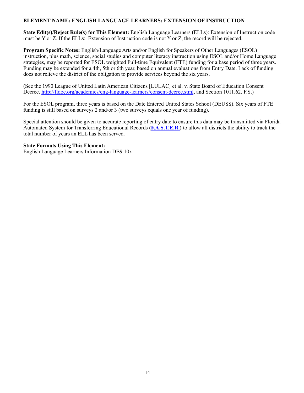# **ELEMENT NAME: ENGLISH LANGUAGE LEARNERS: EXTENSION OF INSTRUCTION**

**State Edit(s)/Reject Rule(s) for This Element:** English Language Learners **(**ELLs): Extension of Instruction code must be Y or Z. If the ELLs: Extension of Instruction code is not Y or Z, the record will be rejected.

**Program Specific Notes:** English/Language Arts and/or English for Speakers of Other Languages (ESOL) instruction, plus math, science, social studies and computer literacy instruction using ESOL and/or Home Language strategies, may be reported for ESOL weighted Full-time Equivalent (FTE) funding for a base period of three years. Funding may be extended for a 4th, 5th or 6th year, based on annual evaluations from Entry Date. Lack of funding does not relieve the district of the obligation to provide services beyond the six years.

(See the 1990 League of United Latin American Citizens [LULAC] et al. v. State Board of Education Consent Decree,<http://fldoe.org/academics/eng-language-learners/consent-decree.stml>, and Section 1011.62, F.S.)

For the ESOL program, three years is based on the Date Entered United States School (DEUSS). Six years of FTE funding is still based on surveys 2 and/or 3 (two surveys equals one year of funding).

Special attention should be given to accurate reporting of entry date to ensure this data may be transmitted via Florida Automated System for Transferring Educational Records **[\(F.A.S.T.E.R.](http://www.fldoe.org/faster/))** to allow all districts the ability to track the total number of years an ELL has been served.

#### **State Formats Using This Element:**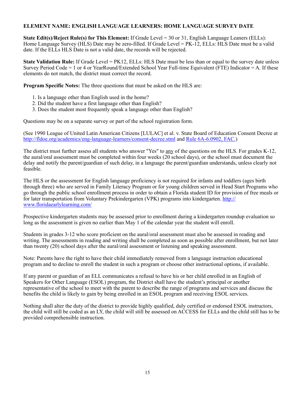# **ELEMENT NAME: ENGLISH LANGUAGE LEARNERS: HOME LANGUAGE SURVEY DATE**

**State Edit(s)/Reject Rule(s) for This Element:** If Grade Level = 30 or 31, English Language Leaners (ELLs): Home Language Survey (HLS) Date may be zero-filled. If Grade Level = PK-12, ELLs: HLS Date must be a valid date. If the ELLs HLS Date is not a valid date, the records will be rejected.

**State Validation Rule:** If Grade Level = PK12, ELLs: HLS Date must be less than or equal to the survey date unless Survey Period Code = 1 or 4 or YearRound/Extended School Year Full-time Equivalent (FTE) Indicator = A. If these elements do not match, the district must correct the record.

**Program Specific Notes:** The three questions that must be asked on the HLS are:

- 1. Is a language other than English used in the home?
- 2. Did the student have a first language other than English?
- 3. Does the student most frequently speak a language other than English?

Questions may be on a separate survey or part of the school registration form.

(See 1990 League of United Latin American Citizens [LULAC] et al. v. State Board of Education Consent Decree at <http://fldoe.org/academics/eng-language-learners/consent-decree.stml> and [Rule 6A-6.0902, FAC.](https://www.flrules.org/gateway/RuleNo.asp?title=SPECIAL%2520PROGRAMS%2520I&ID=6A-6.0902))

The district must further assess all students who answer "Yes" to any of the questions on the HLS. For grades K-12, the aural/oral assessment must be completed within four weeks (20 school days), or the school must document the delay and notify the parent/guardian of such delay, in a language the parent/guardian understands, unless clearly not feasible.

The HLS or the assessment for English language proficiency is not required for infants and toddlers (ages birth through three) who are served in Family Literacy Program or for young children served in Head Start Programs who go through the public school enrollment process in order to obtain a Florida student ID for provision of free meals or for later transportation from Voluntary Prekindergarten (VPK) programs into kindergarten. [http://](http://www.floridaearlylearning.com/) [www.floridaearlylearning.com/](http://www.floridaearlylearning.com/) 

Prospective kindergarten students may be assessed prior to enrollment during a kindergarten roundup evaluation so long as the assessment is given no earlier than May 1 of the calendar year the student will enroll.

Students in grades 3-12 who score proficient on the aural/oral assessment must also be assessed in reading and writing. The assessments in reading and writing shall be completed as soon as possible after enrollment, but not later than twenty (20) school days after the aural/oral assessment or listening and speaking assessment.

Note: Parents have the right to have their child immediately removed from a language instruction educational program and to decline to enroll the student in such a program or choose other instructional options, if available.

If any parent or guardian of an ELL communicates a refusal to have his or her child enrolled in an English of Speakers for Other Language (ESOL) program, the District shall have the student's principal or another representative of the school to meet with the parent to describe the range of programs and services and discuss the benefits the child is likely to gain by being enrolled in an ESOL program and receiving ESOL services.

Nothing shall alter the duty of the district to provide highly qualified, duly certified or endorsed ESOL instructors, the child will still be coded as an LY, the child will still be assessed on ACCESS for ELLs and the child still has to be provided comprehensible instruction.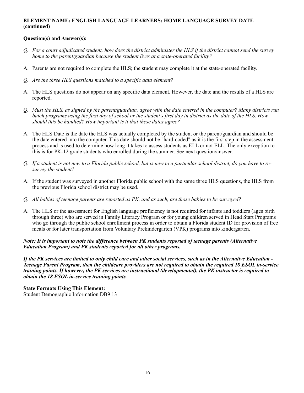# **ELEMENT NAME: ENGLISH LANGUAGE LEARNERS: HOME LANGUAGE SURVEY DATE (continued)**

# **Question(s) and Answer(s):**

- *Q. For a court adjudicated student, how does the district administer the HLS if the district cannot send the survey home to the parent/guardian because the student lives at a state-operated facility?*
- A. Parents are not required to complete the HLS; the student may complete it at the state-operated facility.
- *Q. Are the three HLS questions matched to a specific data element?*
- A. The HLS questions do not appear on any specific data element. However, the date and the results of a HLS are reported.
- *Q. Must the HLS, as signed by the parent/guardian, agree with the date entered in the computer? Many districts run batch programs using the first day of school or the student's first day in district as the date of the HLS. How should this be handled? How important is it that these dates agree?*
- A. The HLS Date is the date the HLS was actually completed by the student or the parent/guardian and should be the date entered into the computer. This date should not be "hard-coded" as it is the first step in the assessment process and is used to determine how long it takes to assess students as ELL or not ELL. The only exception to this is for PK-12 grade students who enrolled during the summer. See next question/answer.
- *Q. If a student is not new to a Florida public school, but is new to a particular school district, do you have to resurvey the student?*
- A. If the student was surveyed in another Florida public school with the same three HLS questions, the HLS from the previous Florida school district may be used.
- *Q. All babies of teenage parents are reported as PK, and as such, are those babies to be surveyed?*
- A. The HLS or the assessment for English language proficiency is not required for infants and toddlers (ages birth through three) who are served in Family Literacy Program or for young children served in Head Start Programs who go through the public school enrollment process in order to obtain a Florida student ID for provision of free meals or for later transportation from Voluntary Prekindergarten (VPK) programs into kindergarten.

# *Note: It is important to note the difference between PK students reported of teenage parents (Alternative Education Program) and PK students reported for all other programs.*

*If the PK services are limited to only child care and other social services, such as in the Alternative Education - Teenage Parent Program, then the childcare providers are not required to obtain the required 18 ESOL in-service training points. If however, the PK services are instructional (developmental), the PK instructor is required to obtain the 18 ESOL in-service training points.* 

**State Formats Using This Element:** Student Demographic Information DB9 13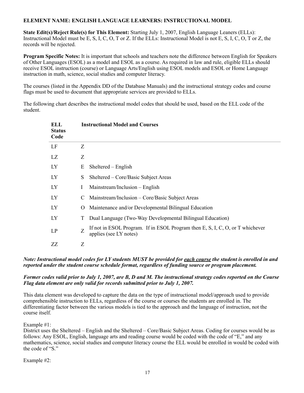# **ELEMENT NAME: ENGLISH LANGUAGE LEARNERS: INSTRUCTIONAL MODEL**

**State Edit(s)/Reject Rule(s) for This Element:** Starting July 1, 2007, English Language Leaners (ELLs): Instructional Model must be E, S, I, C, O, T or Z. If the ELLs: Instructional Model is not E, S, I, C, O, T or Z, the records will be rejected.

**Program Specific Notes:** It is important that schools and teachers note the difference between English for Speakers of Other Languages (ESOL) as a model and ESOL as a course. As required in law and rule, eligible ELLs should receive ESOL instruction (course) or Language Arts/English using ESOL models and ESOL or Home Language instruction in math, science, social studies and computer literacy.

The courses (listed in the Appendix DD of the Database Manuals) and the instructional strategy codes and course flags must be used to document that appropriate services are provided to ELLs.

The following chart describes the instructional model codes that should be used, based on the ELL code of the student.

| ELL<br><b>Status</b><br>Code |              | <b>Instructional Model and Courses</b>                                                                  |
|------------------------------|--------------|---------------------------------------------------------------------------------------------------------|
| LF                           | Z            |                                                                                                         |
| LZ                           | Z            |                                                                                                         |
| LY                           | E            | Sheltered – English                                                                                     |
| LY                           | S            | Sheltered – Core/Basic Subject Areas                                                                    |
| LY                           | $\mathbf{I}$ | Mainstream/Inclusion – English                                                                          |
| LY                           | C.           | Mainstream/Inclusion – Core/Basic Subject Areas                                                         |
| LY                           | $\cup$       | Maintenance and/or Developmental Bilingual Education                                                    |
| LY                           | T            | Dual Language (Two-Way Developmental Bilingual Education)                                               |
| LP                           | Z            | If not in ESOL Program. If in ESOL Program then E, S, I, C, O, or T whichever<br>applies (see LY notes) |
| ZZ                           | Z            |                                                                                                         |

# *Note: Instructional model codes for LY students MUST be provided for each course the student is enrolled in and reported under the student course schedule format, regardless of funding source or program placement.*

# *Former codes valid prior to July 1, 2007, are B, D and M. The instructional strategy codes reported on the Course Flag data element are only valid for records submitted prior to July 1, 2007.*

This data element was developed to capture the data on the type of instructional model/approach used to provide comprehensible instruction to ELLs, regardless of the course or courses the students are enrolled in. The differentiating factor between the various models is tied to the approach and the language of instruction, not the course itself.

Example #1:

District uses the Sheltered – English and the Sheltered – Core/Basic Subject Areas. Coding for courses would be as follows: Any ESOL, English, language arts and reading course would be coded with the code of "E," and any mathematics, science, social studies and computer literacy course the ELL would be enrolled in would be coded with the code of "S."

Example #2: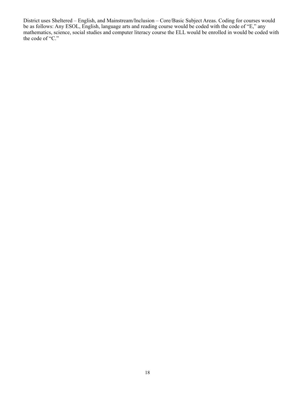District uses Sheltered – English, and Mainstream/Inclusion – Core/Basic Subject Areas. Coding for courses would be as follows: Any ESOL, English, language arts and reading course would be coded with the code of "E," any mathematics, science, social studies and computer literacy course the ELL would be enrolled in would be coded with the code of "C."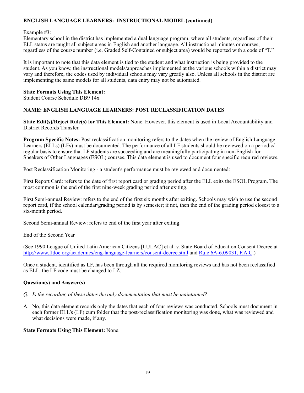# **ENGLISH LANGUAGE LEARNERS: INSTRUCTIONAL MODEL (continued)**

#### Example #3:

Elementary school in the district has implemented a dual language program, where all students, regardless of their ELL status are taught all subject areas in English and another language. All instructional minutes or courses, regardless of the course number (i.e. Graded Self-Contained or subject area) would be reported with a code of "T."

It is important to note that this data element is tied to the student and what instruction is being provided to the student. As you know, the instructional models/approaches implemented at the various schools within a district may vary and therefore, the codes used by individual schools may vary greatly also. Unless all schools in the district are implementing the same models for all students, data entry may not be automated.

#### **State Formats Using This Element:**

Student Course Schedule DB9 14x

# **NAME: ENGLISH LANGUAGE LEARNERS: POST RECLASSIFICATION DATES**

**State Edit(s)/Reject Rule(s) for This Element:** None. However, this element is used in Local Accountability and District Records Transfer.

**Program Specific Notes:** Post reclassification monitoring refers to the dates when the review of English Language Learners (ELLs) (LFs) must be documented. The performance of all LF students should be reviewed on a periodic/ regular basis to ensure that LF students are succeeding and are meaningfully participating in non-English for Speakers of Other Languages (ESOL) courses. This data element is used to document four specific required reviews.

Post Reclassification Monitoring - a student's performance must be reviewed and documented:

First Report Card: refers to the date of first report card or grading period after the ELL exits the ESOL Program. The most common is the end of the first nine-week grading period after exiting.

First Semi-annual Review: refers to the end of the first six months after exiting. Schools may wish to use the second report card, if the school calendar/grading period is by semester; if not, then the end of the grading period closest to a six-month period.

Second Semi-annual Review: refers to end of the first year after exiting.

End of the Second Year

(See 1990 League of United Latin American Citizens [LULAC] et al. v. State Board of Education Consent Decree at <http://www.fldoe.org/academics/eng-language-learners/consent-decree.stml> and [Rule 6A-6.09031, F.A.C](https://www.flrules.org/gateway/RuleNo.asp?title=SPECIAL%2520PROGRAMS%2520I&ID=6A-6.09031).)

Once a student, identified as LF, has been through all the required monitoring reviews and has not been reclassified as ELL, the LF code must be changed to LZ.

# **Question(s) and Answer(s)**

- *Q. Is the recording of these dates the only documentation that must be maintained?*
- A. No, this data element records only the dates that each of four reviews was conducted. Schools must document in each former ELL's (LF) cum folder that the post-reclassification monitoring was done, what was reviewed and what decisions were made, if any.

# **State Formats Using This Element:** None.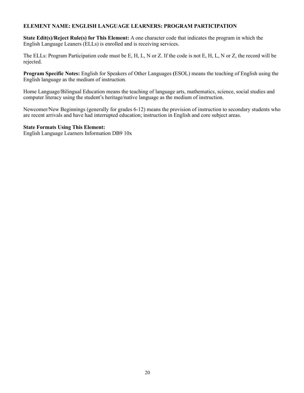# **ELEMENT NAME: ENGLISH LANGUAGE LEARNERS: PROGRAM PARTICIPATION**

**State Edit(s)/Reject Rule(s) for This Element:** A one character code that indicates the program in which the English Language Leaners (ELLs) is enrolled and is receiving services.

The ELLs: Program Participation code must be E, H, L, N or Z. If the code is not E, H, L, N or Z, the record will be rejected.

**Program Specific Notes:** English for Speakers of Other Languages **(**ESOL) means the teaching of English using the English language as the medium of instruction.

Home Language/Bilingual Education means the teaching of language arts, mathematics, science, social studies and computer literacy using the student's heritage/native language as the medium of instruction.

Newcomer/New Beginnings (generally for grades 6-12) means the provision of instruction to secondary students who are recent arrivals and have had interrupted education; instruction in English and core subject areas.

#### **State Formats Using This Element:**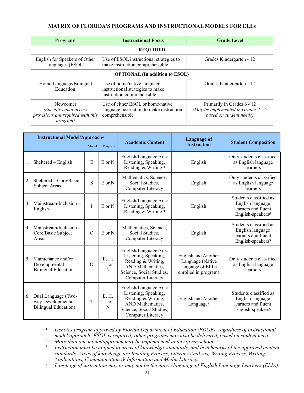# **MATRIX OF FLORIDA'S PROGRAMS AND INSTRUCTIONAL MODELS FOR ELLs**

| Program <sup>1</sup>                                                                        | <b>Instructional Focus</b>                                                                      | <b>Grade Level</b>                                                                             |  |  |  |  |
|---------------------------------------------------------------------------------------------|-------------------------------------------------------------------------------------------------|------------------------------------------------------------------------------------------------|--|--|--|--|
|                                                                                             | <b>REQUIRED</b>                                                                                 |                                                                                                |  |  |  |  |
| English for Speakers of Other<br>Languages (ESOL)                                           | Use of ESOL instructional strategies to<br>make instruction comprehensible                      | Grades Kindergarten - 12                                                                       |  |  |  |  |
|                                                                                             | <b>OPTIONAL</b> (In addition to ESOL)                                                           |                                                                                                |  |  |  |  |
| Home Language/Bilingual<br>Education                                                        | Use of home/native language<br>instructional strategies to make<br>instruction comprehensible   | Grades Kindergarten - 12                                                                       |  |  |  |  |
| Newcomer<br>(Specific equal access<br>provisions are required with this<br><i>program</i> ) | Use of either ESOL or home/native<br>language instruction to make instruction<br>comprehensible | Primarily in Grades 6 - 12<br>(May be implemented in Grades $1 - 5$<br>based on student needs) |  |  |  |  |

| <b>Instructional Model/Approach<sup>2</sup></b> |                                                                          |               |                     | Language of<br><b>Academic Content</b>                                                                                                    |                                                                                            |                                                                                                    |  |
|-------------------------------------------------|--------------------------------------------------------------------------|---------------|---------------------|-------------------------------------------------------------------------------------------------------------------------------------------|--------------------------------------------------------------------------------------------|----------------------------------------------------------------------------------------------------|--|
|                                                 |                                                                          | <b>Model</b>  | Program             |                                                                                                                                           | <b>Instruction</b>                                                                         | <b>Student Composition</b>                                                                         |  |
| 1.                                              | Sheltered - English                                                      | E             | E or N              | English/Language Arts:<br>Listening, Speaking,<br>Reading & Writing 3                                                                     | English                                                                                    | Only students classified<br>as English language<br>learners                                        |  |
| 2.                                              | Sheltered – Core/Basic<br>Subject Areas                                  | S             | $E$ or $N$          | Mathematics, Science,<br>Social Studies.<br>Computer Literacy                                                                             | English                                                                                    | Only students classified<br>as English language<br>learners                                        |  |
| 3.                                              | Mainstream/Inclusion -<br>English                                        | I             | E or N              | English/Language Arts:<br>Listening, Speaking,<br>Reading & Writing 3                                                                     | English                                                                                    | Students classified as<br>English language<br>learners and fluent<br>English-speakers <sup>5</sup> |  |
| $4_{\cdot}$                                     | Mainstream/Inclusion -<br>Core/Basic Subject<br>Areas                    | $\mathcal{C}$ | $E$ or $N$          | Mathematics, Science,<br>Social Studies,<br>Computer Literacy                                                                             | English                                                                                    | Students classified as<br>English language<br>learners and fluent<br>English-speakers <sup>5</sup> |  |
| 5.                                              | Maintenance and/or<br>Developmental<br><b>Bilingual Education</b>        | $\Omega$      | E, H,<br>L, or<br>N | English/Language Arts:<br>Listening, Speaking,<br>Reading & Writing,<br>AND Mathematics.<br>Science, Social Studies,<br>Computer Literacy | <b>English and Another</b><br>Language (Native<br>language of ELLs<br>enrolled in program) | Only students classified<br>as English language<br>learners                                        |  |
| 6.                                              | Dual Language (Two-<br>way Developmental<br><b>Bilingual Education</b> ) | T             | E, H,<br>L, or<br>N | English/Language Arts:<br>Listening, Speaking,<br>Reading & Writing,<br>AND Mathematics,<br>Science, Social Studies,<br>Computer Literacy | <b>English and Another</b><br>Language <sup>4</sup>                                        | Students classified as<br>English language<br>learners and fluent<br>English-speakers <sup>5</sup> |  |

**<sup>1</sup>** *Denotes program approved by Florida Department of Education (FDOE), regardless of instructional model/approach: ESOL is required; other programs may also be delivered, based on student need.*

**<sup>2</sup>** *More than one model/approach may be implemented at any given school.*

- **<sup>3</sup>** *Instruction must be aligned to areas of knowledge, standards, and benchmarks of the approved content standards. Areas of knowledge are Reading Process, Literary Analysis, Writing Process, Writing Applications, Communication & Information and Media Literacy.*
- **<sup>4</sup>***Language of instruction may or may not be the native language of English Language Learners (ELLs).*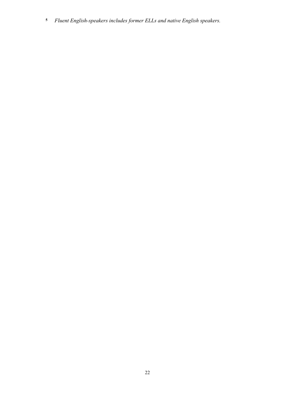*Fluent English-speakers includes former ELLs and native English speakers.*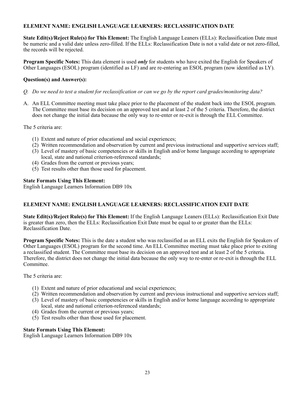# **ELEMENT NAME: ENGLISH LANGUAGE LEARNERS: RECLASSIFICATION DATE**

**State Edit(s)/Reject Rule(s) for This Element:** The English Language Leaners (ELLs): Reclassification Date must be numeric and a valid date unless zero-filled. If the ELLs: Reclassification Date is not a valid date or not zero-filled, the records will be rejected.

**Program Specific Notes:** This data element is used *only* for students who have exited the English for Speakers of Other Languages (ESOL) program (identified as LF) and are re-entering an ESOL program (now identified as LY).

# **Question(s) and Answer(s):**

- *Q. Do we need to test a student for reclassification or can we go by the report card grades/monitoring data?*
- A. An ELL Committee meeting must take place prior to the placement of the student back into the ESOL program. The Committee must base its decision on an approved test and at least 2 of the 5 criteria. Therefore, the district does not change the initial data because the only way to re-enter or re-exit is through the ELL Committee.

The 5 criteria are:

- (1) Extent and nature of prior educational and social experiences;
- (2) Written recommendation and observation by current and previous instructional and supportive services staff;
- (3) Level of mastery of basic competencies or skills in English and/or home language according to appropriate local, state and national criterion-referenced standards;
- (4) Grades from the current or previous years;
- (5) Test results other than those used for placement.

# **State Formats Using This Element:**

English Language Learners Information DB9 10x

# **ELEMENT NAME: ENGLISH LANGUAGE LEARNERS: RECLASSIFICATION EXIT DATE**

**State Edit(s)/Reject Rule(s) for This Element:** If the English Language Leaners (ELLs): Reclassification Exit Date is greater than zero, then the ELLs: Reclassification Exit Date must be equal to or greater than the ELLs: Reclassification Date.

**Program Specific Notes:** This is the date a student who was reclassified as an ELL exits the English for Speakers of Other Languages (ESOL) program for the second time. An ELL Committee meeting must take place prior to exiting a reclassified student. The Committee must base its decision on an approved test and at least 2 of the 5 criteria. Therefore, the district does not change the initial data because the only way to re-enter or re-exit is through the ELL Committee.

The 5 criteria are:

- (1) Extent and nature of prior educational and social experiences;
- (2) Written recommendation and observation by current and previous instructional and supportive services staff;
- (3) Level of mastery of basic competencies or skills in English and/or home language according to appropriate local, state and national criterion-referenced standards;
- (4) Grades from the current or previous years;
- (5) Test results other than those used for placement.

# **State Formats Using This Element:**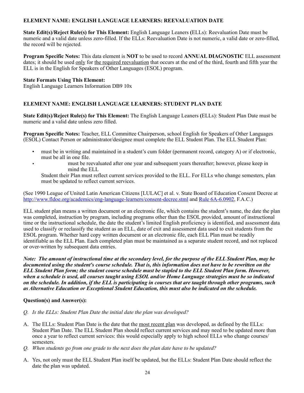# **ELEMENT NAME: ENGLISH LANGUAGE LEARNERS: REEVALUATION DATE**

**State Edit(s)/Reject Rule(s) for This Element:** English Language Leaners **(**ELLs): Reevaluation Date must be numeric and a valid date unless zero-filled. If the ELLs: Reevaluation Date is not numeric, a valid date or zero-filled, the record will be rejected.

**Program Specific Notes:** This data element is **NOT** to be used to record **ANNUAL DIAGNOSTIC** ELL assessment dates; it should be used only for the required reevaluation that occurs at the end of the third, fourth and fifth year the ELL is in the English for Speakers of Other Languages (ESOL) program.

# **State Formats Using This Element:**

English Language Learners Information DB9 10x

# **ELEMENT NAME: ENGLISH LANGUAGE LEARNERS: STUDENT PLAN DATE**

**State Edit(s)/Reject Rule(s) for This Element:** The English Language Leaners **(**ELLs): Student Plan Date must be numeric and a valid date unless zero filled.

**Program Specific Notes:** Teacher, ELL Committee Chairperson, school English for Speakers of Other Languages (ESOL) Contact Person or administrator/designee must complete the ELL Student Plan. The ELL Student Plan:

- must be in writing and maintained in a student's cum folder (permanent record, category A) or if electronic, must be all in one file.
- must be reevaluated after one year and subsequent years thereafter; however, please keep in mind the ELL

Student their Plan must reflect current services provided to the ELL. For ELLs who change semesters, plan must be updated to reflect current services.

(See 1990 League of United Latin American Citizens [LULAC] et al. v. State Board of Education Consent Decree at <http://www.fldoe.org/academics/eng-language-learners/consent-decree.stml> and [Rule 6A-6.0902](https://www.flrules.org/gateway/ChapterHome.asp?Chapter=6A-6), F.A.C.)

ELL student plan means a written document or an electronic file, which contains the student's name, the date the plan was completed, instruction by program, including programs other than the ESOL provided, amount of instructional time or the instructional schedule, the date the student's limited English proficiency is identified, and assessment data used to classify or reclassify the student as an ELL, date of exit and assessment data used to exit students from the ESOL program. Whether hard copy written document or an electronic file, each ELL Plan must be readily identifiable as the ELL Plan. Each completed plan must be maintained as a separate student record, and not replaced or over-written by subsequent data entries.

*Note: The amount of instructional time at the secondary level, for the purpose of the ELL Student Plan, may be documented using the student's course schedule. That is, this information does not have to be rewritten on the ELL Student Plan form; the student course schedule must be stapled to the ELL Student Plan form. However, when a schedule is used, all courses taught using ESOL and/or Home Language strategies must be so indicated on the schedule. In addition, if the ELL is participating in courses that are taught through other programs, such as Alternative Education or Exceptional Student Education, this must also be indicated on the schedule.*

# **Question(s) and Answer(s):**

- *Q. Is the ELLs: Student Plan Date the initial date the plan was developed?*
- A. The ELLs: Student Plan Date is the date that the most recent plan was developed, as defined by the ELLs: Student Plan Date. The ELL Student Plan should reflect current services and may need to be updated more than once a year to reflect current services: this would especially apply to high school ELLs who change courses/ semesters.
- *Q. When students go from one grade to the next does the plan date have to be updated?*
- A. Yes, not only must the ELL Student Plan itself be updated, but the ELLs: Student Plan Date should reflect the date the plan was updated.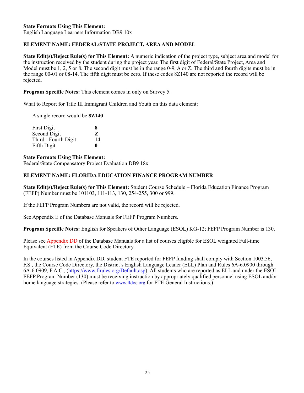English Language Learners Information DB9 10x

# **ELEMENT NAME: FEDERAL/STATE PROJECT, AREA AND MODEL**

**State Edit(s)/Reject Rule(s) for This Element:** A numeric indication of the project type, subject area and model for the instruction received by the student during the project year. The first digit of Federal/State Project, Area and Model must be 1, 2, 5 or 8. The second digit must be in the range 0-9, A or Z. The third and fourth digits must be in the range 00-01 or 08-14. The fifth digit must be zero. If these codes 8Z140 are not reported the record will be rejected.

**Program Specific Notes:** This element comes in only on Survey 5.

What to Report for Title III Immigrant Children and Youth on this data element:

A single record would be **8Z140**

| <b>First Digit</b>   | x            |
|----------------------|--------------|
| Second Digit         | Z            |
| Third - Fourth Digit | 14           |
| Fifth Digit          | $\mathbf{0}$ |

#### **State Formats Using This Element:**

Federal/State Compensatory Project Evaluation DB9 18x

# **ELEMENT NAME: FLORIDA EDUCATION FINANCE PROGRAM NUMBER**

**State Edit(s)/Reject Rule(s) for This Element:** Student Course Schedule – Florida Education Finance Program (FEFP) Number must be 101103, 111-113, 130, 254-255, 300 or 999.

If the FEFP Program Numbers are not valid, the record will be rejected.

See Appendix E of the Database Manuals for FEFP Program Numbers.

**Program Specific Notes:** English for Speakers of Other Language (ESOL) KG-12; FEFP Program Number is 130.

Please see Appendix DD of the Database Manuals for a list of courses eligible for ESOL weighted Full-time Equivalent (FTE) from the Course Code Directory.

In the courses listed in Appendix DD, student FTE reported for FEFP funding shall comply with Section 1003.56, F.S., the Course Code Directory, the District's English Language Leaner (ELL) Plan and Rules 6A-6.0900 through 6A-6.0909, F.A.C., ([https://www.flrules.org/Default.asp\)](https://www.flrules.org/Default.asp). All students who are reported as ELL and under the ESOL FEFP Program Number (130) must be receiving instruction by appropriately qualified personnel using ESOL and/or home language strategies. (Please refer to [www.fldoe.org](http://../../../chane.eplin$/fldoe.org) for FTE General Instructions.)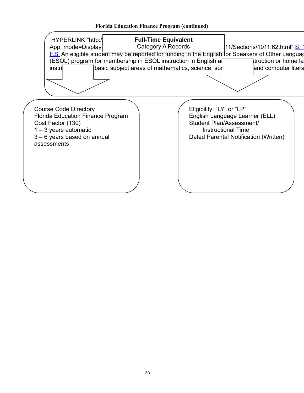# **Florida Education Finance Program (continued)**

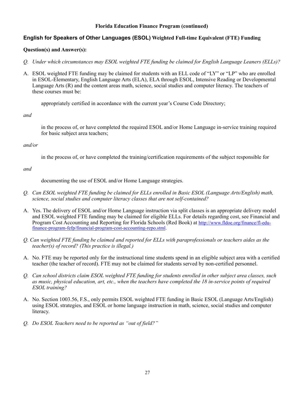# **Florida Education Finance Program (continued)**

# **English for Speakers of Other Languages (ESOL) Weighted Full-time Equivalent (FTE) Funding**

#### **Question(s) and Answer(s):**

- *Q. Under which circumstances may ESOL weighted FTE funding be claimed for English Language Leaners (ELLs)?*
- A. ESOL weighted FTE funding may be claimed for students with an ELL code of "LY" or "LP" who are enrolled in ESOL-Elementary, English Language Arts (ELA), ELA through ESOL, Intensive Reading or Developmental Language Arts (R) and the content areas math, science, social studies and computer literacy. The teachers of these courses must be:

appropriately certified in accordance with the current year's Course Code Directory;

*and*

in the process of, or have completed the required ESOL and/or Home Language in-service training required for basic subject area teachers;

#### *and/or*

in the process of, or have completed the training/certification requirements of the subject responsible for

#### *and*

documenting the use of ESOL and/or Home Language strategies.

- *Q. Can ESOL weighted FTE funding be claimed for ELLs enrolled in Basic ESOL (Language Arts/English) math, science, social studies and computer literacy classes that are not self-contained?*
- A. Yes. The delivery of ESOL and/or Home Language instruction via split classes is an appropriate delivery model and ESOL weighted FTE funding may be claimed for eligible ELLs. For details regarding cost, see Financial and Program Cost Accounting and Reporting for Florida Schools (Red Book) at [http://www.fldoe.org/finance/fl-edu](http://www.fldoe.org/finance/fl-edu-finance-program-fefp/financial-program-cost-accounting-repo.stml)[finance-program-fefp/financial-program-cost-accounting-repo.stml](http://www.fldoe.org/finance/fl-edu-finance-program-fefp/financial-program-cost-accounting-repo.stml).
- *Q. Can weighted FTE funding be claimed and reported for ELLs with paraprofessionals or teachers aides as the teacher(s) of record? (This practice is illegal.)*
- A. No. FTE may be reported only for the instructional time students spend in an eligible subject area with a certified teacher (the teacher of record). FTE may not be claimed for students served by non-certified personnel.
- *Q. Can school districts claim ESOL weighted FTE funding for students enrolled in other subject area classes, such as music, physical education, art, etc., when the teachers have completed the 18 in-service points of required ESOL training?*
- A. No. Section 1003.56, F.S., only permits ESOL weighted FTE funding in Basic ESOL (Language Arts/English) using ESOL strategies, and ESOL or home language instruction in math, science, social studies and computer literacy.
- *Q. Do ESOL Teachers need to be reported as "out of field?"*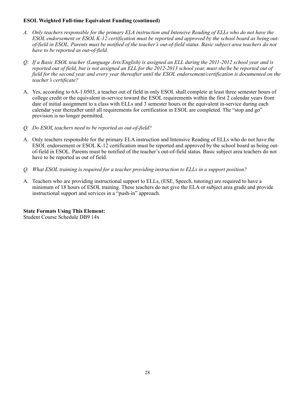# **ESOL Weighted Full-time Equivalent Funding (continued)**

- *A. Only teachers responsible for the primary ELA instruction and Intensive Reading of ELLs who do not have the ESOL endorsement or ESOL K-12 certification must be reported and approved by the school board as being outof-field in ESOL. Parents must be notified of the teacher's out-of-field status. Basic subject area teachers do not have to be reported as out-of-field.*
- *Q. If a Basic ESOL teacher (Language Arts/English) is assigned an ELL during the 2011-2012 school year and is reported out of field, but is not assigned an ELL for the 2012-2013 school year, must she/he be reported out of field for the second year and every year thereafter until the ESOL endorsement/certification is documented on the teacher's certificate?*
- A. Yes, according to 6A-1.0503, a teacher out of field in only ESOL shall complete at least three semester hours of college credit or the equivalent in-service toward the ESOL requirements within the first 2 calendar years from date of initial assignment to a class with ELLs and 3 semester hours or the equivalent in-service during each calendar year thereafter until all requirements for certification in ESOL are completed. The "stop and go" provision is no longer permitted.
- *Q. Do ESOL teachers need to be reported as out-of-field?*
- A. Only teachers responsible for the primary ELA instruction and Intensive Reading of ELLs who do not have the ESOL endorsement or ESOL K-12 certification must be reported and approved by the school board as being outof-field in ESOL. Parents must be notified of the teacher's out-of-field status. Basic subject area teachers do not have to be reported as out of field.
- *Q. What ESOL training is required for a teacher providing instruction to ELLs in a support position?*
- A. Teachers who are providing instructional support to ELLs, (ESE, Speech, tutoring) are required to have a minimum of 18 hours of ESOL training. These teachers do not give the ELA or subject area grade and provide instructional support and services in a "push-in" approach.

**State Formats Using This Element:** Student Course Schedule DB9 14x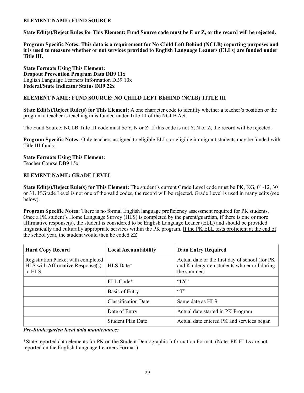# **ELEMENT NAME: FUND SOURCE**

**State Edit(s)/Reject Rules for This Element: Fund Source code must be E or Z, or the record will be rejected.** 

**Program Specific Notes: This data is a requirement for No Child Left Behind (NCLB) reporting purposes and it is used to measure whether or not services provided to English Language Leaners (ELLs) are funded under Title III.** 

**State Formats Using This Element: Dropout Prevention Program Data DB9 11x**  English Language Learners Information DB9 10x **Federal/State Indicator Status DB9 22x** 

# **ELEMENT NAME: FUND SOURCE: NO CHILD LEFT BEHIND (NCLB) TITLE III**

**State Edit(s)/Reject Rule(s) for This Element:** A one character code to identify whether a teacher's position or the program a teacher is teaching in is funded under Title III of the NCLB Act.

The Fund Source: NCLB Title III code must be Y, N or Z. If this code is not Y, N or Z, the record will be rejected.

**Program Specific Notes:** Only teachers assigned to eligible ELLs or eligible immigrant students may be funded with Title III funds.

#### **State Formats Using This Element:** Teacher Course DB9 15x

# **ELEMENT NAME: GRADE LEVEL**

**State Edit(s)/Reject Rule(s) for This Element:** The student's current Grade Level code must be PK, KG, 01-12, 30 or 31. If Grade Level is not one of the valid codes, the record will be rejected. Grade Level is used in many edits (see below).

**Program Specific Notes:** There is no formal English language proficiency assessment required for PK students. Once a PK student's Home Language Survey (HLS) is completed by the parent/guardian, if there is one or more affirmative response(s), the student is considered to be English Language Leaner (ELL) and should be provided linguistically and culturally appropriate services within the PK program. If the PK ELL tests proficient at the end of the school year, the student would then be coded ZZ.

| <b>Hard Copy Record</b>                                                          | <b>Local Accountability</b> | <b>Data Entry Required</b>                                                                                    |
|----------------------------------------------------------------------------------|-----------------------------|---------------------------------------------------------------------------------------------------------------|
| Registration Packet with completed<br>HLS with Affirmative Response(s)<br>to HLS | HLS Date*                   | Actual date or the first day of school (for PK)<br>and Kindergarten students who enroll during<br>the summer) |
|                                                                                  | ELL Code*                   | " $Y$ "                                                                                                       |
|                                                                                  | Basis of Entry              | $\lq\lq$ <sup>"</sup>                                                                                         |
|                                                                                  | <b>Classification Date</b>  | Same date as HLS                                                                                              |
|                                                                                  | Date of Entry               | Actual date started in PK Program                                                                             |
|                                                                                  | <b>Student Plan Date</b>    | Actual date entered PK and services began                                                                     |

*Pre-Kindergarten local data maintenance:*

\*State reported data elements for PK on the Student Demographic Information Format. (Note: PK ELLs are not reported on the English Language Learners Format.)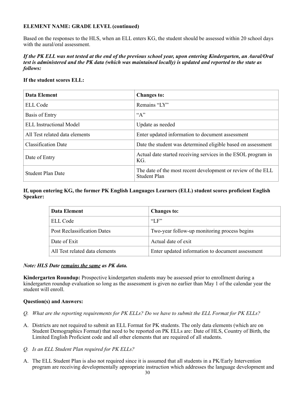# **ELEMENT NAME: GRADE LEVEL (continued)**

Based on the responses to the HLS, when an ELL enters KG, the student should be assessed within 20 school days with the aural/oral assessment.

# *If the PK ELL was not tested at the end of the previous school year, upon entering Kindergarten, an Aural/Oral test is administered and the PK data (which was maintained locally) is updated and reported to the state as follows:*

# **If the student scores ELL:**

| <b>Data Element</b>            | <b>Changes to:</b>                                                                  |
|--------------------------------|-------------------------------------------------------------------------------------|
| <b>ELL Code</b>                | Remains "LY"                                                                        |
| <b>Basis of Entry</b>          | ``A"                                                                                |
| <b>ELL</b> Instructional Model | Update as needed                                                                    |
| All Test related data elements | Enter updated information to document assessment                                    |
| <b>Classification Date</b>     | Date the student was determined eligible based on assessment                        |
| Date of Entry                  | Actual date started receiving services in the ESOL program in<br>KG.                |
| <b>Student Plan Date</b>       | The date of the most recent development or review of the ELL<br><b>Student Plan</b> |

**If, upon entering KG, the former PK English Languages Learners (ELL) student scores proficient English Speaker:**

| Data Element                       | <b>Changes to:</b>                               |  |
|------------------------------------|--------------------------------------------------|--|
| ELL Code                           | $\rm ^{4}$ $\rm F$ $\rm F$ $\rm ^{2}$            |  |
| <b>Post Reclassification Dates</b> | Two-year follow-up monitoring process begins     |  |
| Date of Exit                       | Actual date of exit                              |  |
| All Test related data elements     | Enter updated information to document assessment |  |

# *Note: HLS Date remains the same as PK data.*

**Kindergarten Roundup:** Prospective kindergarten students may be assessed prior to enrollment during a kindergarten roundup evaluation so long as the assessment is given no earlier than May 1 of the calendar year the student will enroll.

# **Question(s) and Answers:**

- *Q. What are the reporting requirements for PK ELLs? Do we have to submit the ELL Format for PK ELLs?*
- A. Districts are not required to submit an ELL Format for PK students. The only data elements (which are on Student Demographics Format) that need to be reported on PK ELLs are: Date of HLS, Country of Birth, the Limited English Proficient code and all other elements that are required of all students.
- *Q. Is an ELL Student Plan required for PK ELLs?*
- A. The ELL Student Plan is also not required since it is assumed that all students in a PK/Early Intervention program are receiving developmentally appropriate instruction which addresses the language development and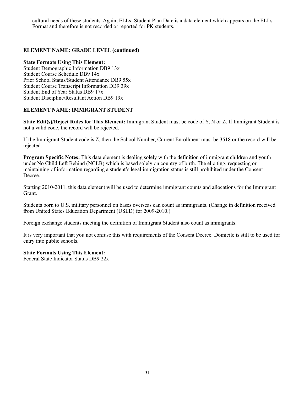cultural needs of these students. Again, ELLs: Student Plan Date is a data element which appears on the ELLs Format and therefore is not recorded or reported for PK students.

# **ELEMENT NAME: GRADE LEVEL (continued)**

#### **State Formats Using This Element:**

Student Demographic Information DB9 13x Student Course Schedule DB9 14x Prior School Status/Student Attendance DB9 55x Student Course Transcript Information DB9 39x Student End of Year Status DB9 17x Student Discipline/Resultant Action DB9 19x

# **ELEMENT NAME: IMMIGRANT STUDENT**

**State Edit(s)/Reject Rules for This Element:** Immigrant Student must be code of Y, N or Z. If Immigrant Student is not a valid code, the record will be rejected.

If the Immigrant Student code is Z, then the School Number, Current Enrollment must be 3518 or the record will be rejected.

**Program Specific Notes:** This data element is dealing solely with the definition of immigrant children and youth under No Child Left Behind (NCLB) which is based solely on country of birth. The eliciting, requesting or maintaining of information regarding a student's legal immigration status is still prohibited under the Consent Decree.

Starting 2010-2011, this data element will be used to determine immigrant counts and allocations for the Immigrant Grant.

Students born to U.S. military personnel on bases overseas can count as immigrants. (Change in definition received from United States Education Department (USED) for 2009-2010.)

Foreign exchange students meeting the definition of Immigrant Student also count as immigrants.

It is very important that you not confuse this with requirements of the Consent Decree. Domicile is still to be used for entry into public schools.

# **State Formats Using This Element:**

Federal State Indicator Status DB9 22x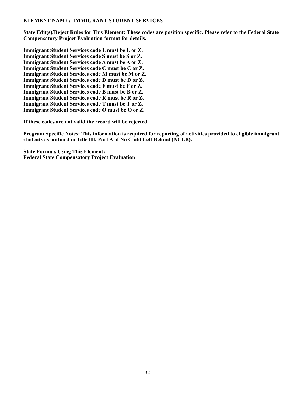# **ELEMENT NAME: IMMIGRANT STUDENT SERVICES**

**State Edit(s)/Reject Rules for This Element: These codes are position specific. Please refer to the Federal State Compensatory Project Evaluation format for details.** 

**Immigrant Student Services code L must be L or Z. Immigrant Student Services code S must be S or Z. Immigrant Student Services code A must be A or Z. Immigrant Student Services code C must be C or Z. Immigrant Student Services code M must be M or Z. Immigrant Student Services code D must be D or Z. Immigrant Student Services code F must be F or Z. Immigrant Student Services code B must be B or Z. Immigrant Student Services code R must be R or Z. Immigrant Student Services code T must be T or Z. Immigrant Student Services code O must be O or Z.** 

**If these codes are not valid the record will be rejected.** 

**Program Specific Notes: This information is required for reporting of activities provided to eligible immigrant students as outlined in Title III, Part A of No Child Left Behind (NCLB).** 

**State Formats Using This Element: Federal State Compensatory Project Evaluation**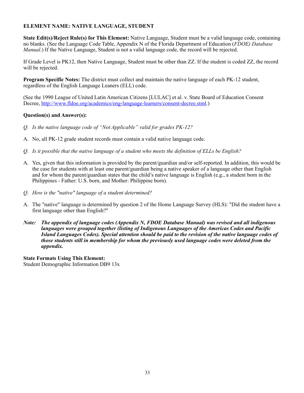# **ELEMENT NAME: NATIVE LANGUAGE, STUDENT**

**State Edit(s)/Reject Rule(s) for This Element:** Native Language, Student must be a valid language code, containing no blanks. (See the Language Code Table, Appendix N of the Florida Department of Education (*FDOE) Database Manual*.) If the Native Language, Student is not a valid language code, the record will be rejected.

If Grade Level is PK12, then Native Language, Student must be other than ZZ. If the student is coded ZZ, the record will be rejected.

**Program Specific Notes:** The district must collect and maintain the native language of each PK-12 student, regardless of the English Language Leaners (ELL) code.

(See the 1990 League of United Latin American Citizens [LULAC] et al. v. State Board of Education Consent Decree, [http://www.fldoe.org/academics/eng-language-learners/consent-decree.stml.](http://www.fldoe.org/academics/eng-language-learners/consent-decree.stml))

# **Question(s) and Answer(s):**

- *Q. Is the native language code of "Not Applicable" valid for grades PK-12?*
- A. No, all PK-12 grade student records must contain a valid native language code.
- *Q. Is it possible that the native language of a student who meets the definition of ELLs be English?*
- A. Yes, given that this information is provided by the parent/guardian and/or self-reported. In addition, this would be the case for students with at least one parent/guardian being a native speaker of a language other than English and for whom the parent/guardian states that the child's native language is English (e.g., a student born in the Philippines - Father: U.S. born, and Mother: Philippine born).
- *Q. How is the "native" language of a student determined?*
- A. The "native" language is determined by question 2 of the Home Language Survey (HLS): "Did the student have a first language other than English?"
- *Note: The appendix of language codes (Appendix N, FDOE Database Manual) was revised and all indigenous languages were grouped together (listing of Indigenous Languages of the Americas Codes and Pacific Island Languages Codes). Special attention should be paid to the revision of the native language codes of those students still in membership for whom the previously used language codes were deleted from the appendix.*

**State Formats Using This Element:** Student Demographic Information DB9 13x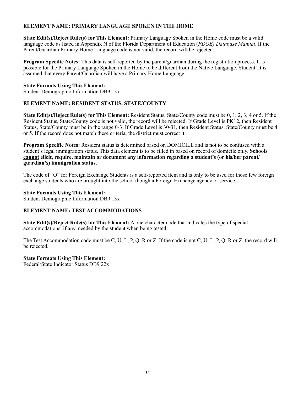# **ELEMENT NAME: PRIMARY LANGUAGE SPOKEN IN THE HOME**

**State Edit(s)/Reject Rule(s) for This Element:** Primary Language Spoken in the Home code must be a valid language code as listed in Appendix N of the Florida Department of Education (*FDOE) Database Manual*. If the Parent/Guardian Primary Home Language code is not valid, the record will be rejected.

**Program Specific Notes:** This data is self-reported by the parent/guardian during the registration process. It is possible for the Primary Language Spoken in the Home to be different from the Native Language, Student. It is assumed that every Parent/Guardian will have a Primary Home Language.

#### **State Formats Using This Element:**

Student Demographic Information DB9 13x

# **ELEMENT NAME: RESIDENT STATUS, STATE/COUNTY**

**State Edit(s)/Reject Rule(s) for This Element:** Resident Status, State/County code must be 0, 1, 2, 3, 4 or 5. If the Resident Status, State/County code is not valid, the record will be rejected. If Grade Level is PK12, then Resident Status, State/County must be in the range 0-3. If Grade Level is 30-31, then Resident Status, State/County must be 4 or 5. If the record does not match these criteria, the district must correct it.

**Program Specific Notes:** Resident status is determined based on DOMICILE and is not to be confused with a student's legal immigration status. This data element is to be filled in based on record of domicile only. **Schools cannot elicit, require, maintain or document any information regarding a student's (or his/her parent/ guardian's) immigration status.** 

The code of "O" for Foreign Exchange Students is a self-reported item and is only to be used for those few foreign exchange students who are brought into the school though a Foreign Exchange agency or service.

#### **State Formats Using This Element:**

Student Demographic Information DB9 13x

# **ELEMENT NAME: TEST ACCOMMODATIONS**

**State Edit(s)/Reject Rule(s) for This Element:** A one character code that indicates the type of special accommodations, if any, needed by the student when being tested.

The Test Accommodation code must be C, U, L, P, Q, R or Z. If the code is not C, U, L, P, Q, R or Z, the record will be rejected.

# **State Formats Using This Element:**

Federal/State Indicator Status DB9 22x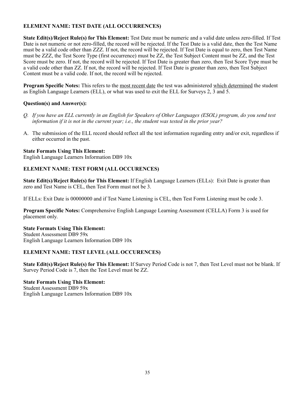# **ELEMENT NAME: TEST DATE (ALL OCCURRENCES)**

**State Edit(s)/Reject Rule(s) for This Element:** Test Date must be numeric and a valid date unless zero-filled. If Test Date is not numeric or not zero-filled, the record will be rejected. If the Test Date is a valid date, then the Test Name must be a valid code other than ZZZ. If not, the record will be rejected. If Test Date is equal to zero, then Test Name must be ZZZ, the Test Score Type (first occurrence) must be ZZ, the Test Subject Content must be ZZ, and the Test Score must be zero. If not, the record will be rejected. If Test Date is greater than zero, then Test Score Type must be a valid code other than ZZ. If not, the record will be rejected. If Test Date is greater than zero, then Test Subject Content must be a valid code. If not, the record will be rejected.

**Program Specific Notes:** This refers to the most recent date the test was administered which determined the student as English Language Learners (ELL), or what was used to exit the ELL for Surveys 2, 3 and 5.

# **Question(s) and Answer(s):**

- *Q. If you have an ELL currently in an English for Speakers of Other Languages (ESOL) program, do you send test information if it is not in the current year; i.e., the student was tested in the prior year?*
- A. The submission of the ELL record should reflect all the test information regarding entry and/or exit, regardless if either occurred in the past.

# **State Formats Using This Element:**

English Language Learners Information DB9 10x

# **ELEMENT NAME: TEST FORM (ALL OCCURENCES)**

**State Edit(s)/Reject Rule(s) for This Element:** If English Language Learners (ELLs): Exit Date is greater than zero and Test Name is CEL, then Test Form must not be 3.

If ELLs: Exit Date is 00000000 and if Test Name Listening is CEL, then Test Form Listening must be code 3.

**Program Specific Notes:** Comprehensive English Language Learning Assessment (CELLA) Form 3 is used for placement only.

#### **State Formats Using This Element:** Student Assessment DB9 59x

English Language Learners Information DB9 10x

# **ELEMENT NAME: TEST LEVEL (ALL OCCURENCES)**

**State Edit(s)/Reject Rule(s) for This Element:** If Survey Period Code is not 7, then Test Level must not be blank. If Survey Period Code is 7, then the Test Level must be ZZ.

# **State Formats Using This Element:**

Student Assessment DB9 59x English Language Learners Information DB9 10x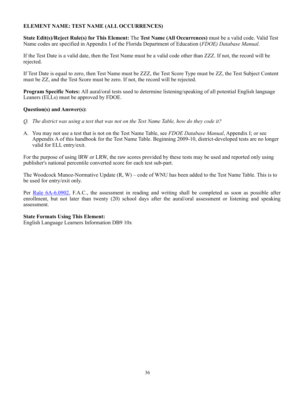# **ELEMENT NAME: TEST NAME (ALL OCCURRENCES)**

**State Edit(s)/Reject Rule(s) for This Element:** The **Test Name (All Occurrences)** must be a valid code. Valid Test Name codes are specified in Appendix I of the Florida Department of Education (*FDOE) Database Manual*.

If the Test Date is a valid date, then the Test Name must be a valid code other than ZZZ. If not, the record will be rejected.

If Test Date is equal to zero, then Test Name must be ZZZ, the Test Score Type must be ZZ, the Test Subject Content must be ZZ, and the Test Score must be zero. If not, the record will be rejected.

**Program Specific Notes:** All aural/oral tests used to determine listening/speaking of all potential English language Leaners (ELLs) must be approved by FDOE.

# **Question(s) and Answer(s):**

- *Q. The district was using a test that was not on the Test Name Table, how do they code it?*
- A. You may not use a test that is not on the Test Name Table, see *FDOE Database Manual*, Appendix I; or see Appendix A of this handbook for the Test Name Table. Beginning 2009-10, district-developed tests are no longer valid for ELL entry/exit.

For the purpose of using IRW or LRW, the raw scores provided by these tests may be used and reported only using publisher's national percentile converted score for each test sub-part.

The Woodcock Munoz-Normative Update (R, W) – code of WNU has been added to the Test Name Table. This is to be used for entry/exit only.

Per [Rule 6A-6.0902,](https://www.flrules.org/gateway/RuleNo.asp?title=SPECIAL%2520PROGRAMS%2520I&ID=6A-6.0902) F.A.C., the assessment in reading and writing shall be completed as soon as possible after enrollment, but not later than twenty (20) school days after the aural/oral assessment or listening and speaking assessment.

# **State Formats Using This Element:**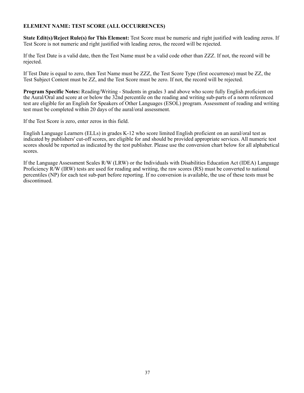# **ELEMENT NAME: TEST SCORE (ALL OCCURRENCES)**

**State Edit(s)/Reject Rule(s) for This Element:** Test Score must be numeric and right justified with leading zeros. If Test Score is not numeric and right justified with leading zeros, the record will be rejected.

If the Test Date is a valid date, then the Test Name must be a valid code other than ZZZ. If not, the record will be rejected.

If Test Date is equal to zero, then Test Name must be ZZZ, the Test Score Type (first occurrence) must be ZZ, the Test Subject Content must be ZZ, and the Test Score must be zero. If not, the record will be rejected.

**Program Specific Notes:** Reading/Writing - Students in grades 3 and above who score fully English proficient on the Aural/Oral and score at or below the 32nd percentile on the reading and writing sub-parts of a norm referenced test are eligible for an English for Speakers of Other Languages (ESOL) program. Assessment of reading and writing test must be completed within 20 days of the aural/oral assessment.

If the Test Score is zero, enter zeros in this field.

English Language Learners (ELLs) in grades K-12 who score limited English proficient on an aural/oral test as indicated by publishers' cut-off scores, are eligible for and should be provided appropriate services. All numeric test scores should be reported as indicated by the test publisher. Please use the conversion chart below for all alphabetical scores.

If the Language Assessment Scales R/W (LRW) or the Individuals with Disabilities Education Act (IDEA) Language Proficiency R/W (IRW) tests are used for reading and writing, the raw scores (RS) must be converted to national percentiles (NP) for each test sub-part before reporting. If no conversion is available, the use of these tests must be discontinued.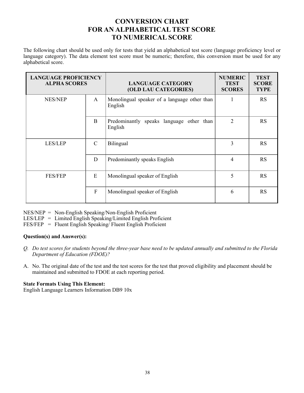# **CONVERSION CHART FOR AN ALPHABETICAL TEST SCORE TO NUMERICAL SCORE**

The following chart should be used only for tests that yield an alphabetical test score (language proficiency level or language category). The data element test score must be numeric; therefore, this conversion must be used for any alphabetical score.

| <b>LANGUAGE PROFICIENCY</b><br><b>ALPHA SCORES</b> |                            | <b>LANGUAGE CATEGORY</b><br><b>(OLD LAU CATEGORIES)</b> | <b>NUMERIC</b><br><b>TEST</b><br><b>SCORES</b> | <b>TEST</b><br><b>SCORE</b><br><b>TYPE</b> |
|----------------------------------------------------|----------------------------|---------------------------------------------------------|------------------------------------------------|--------------------------------------------|
| <b>NES/NEP</b>                                     | $\mathsf{A}$               | Monolingual speaker of a language other than<br>English |                                                | <b>RS</b>                                  |
|                                                    | B                          | Predominantly speaks language other than<br>English     | $\overline{2}$                                 | <b>RS</b>                                  |
| LES/LEP                                            | $\mathcal{C}$<br>Bilingual |                                                         | 3                                              | <b>RS</b>                                  |
|                                                    | D                          | Predominantly speaks English                            | $\overline{4}$                                 | <b>RS</b>                                  |
| E<br><b>FES/FEP</b><br>$\overline{F}$              |                            | Monolingual speaker of English                          | 5                                              | <b>RS</b>                                  |
|                                                    |                            | Monolingual speaker of English                          | 6                                              | <b>RS</b>                                  |

NES/NEP = Non-English Speaking/Non-English Proficient

 $LES/LEP = Limited English Speaking/Limited English Profiticient$ 

FES/FEP = Fluent English Speaking/ Fluent English Proficient

# **Question(s) and Answer(s):**

- *Q. Do test scores for students beyond the three-year base need to be updated annually and submitted to the Florida Department of Education (FDOE)?*
- A. No. The original date of the test and the test scores for the test that proved eligibility and placement should be maintained and submitted to FDOE at each reporting period.

# **State Formats Using This Element:**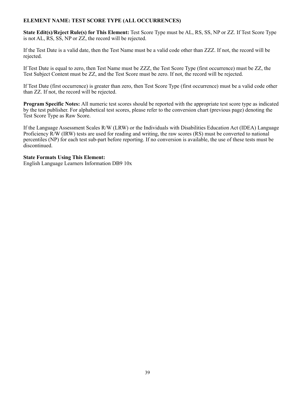# **ELEMENT NAME: TEST SCORE TYPE (ALL OCCURRENCES)**

**State Edit(s)/Reject Rule(s) for This Element:** Test Score Type must be AL, RS, SS, NP or ZZ. If Test Score Type is not AL, RS, SS, NP or ZZ, the record will be rejected.

If the Test Date is a valid date, then the Test Name must be a valid code other than ZZZ. If not, the record will be rejected.

If Test Date is equal to zero, then Test Name must be ZZZ, the Test Score Type (first occurrence) must be ZZ, the Test Subject Content must be ZZ, and the Test Score must be zero. If not, the record will be rejected.

If Test Date (first occurrence) is greater than zero, then Test Score Type (first occurrence) must be a valid code other than ZZ. If not, the record will be rejected.

**Program Specific Notes:** All numeric test scores should be reported with the appropriate test score type as indicated by the test publisher. For alphabetical test scores, please refer to the conversion chart (previous page) denoting the Test Score Type as Raw Score.

If the Language Assessment Scales R/W (LRW) or the Individuals with Disabilities Education Act (IDEA) Language Proficiency R/W (IRW) tests are used for reading and writing, the raw scores (RS) must be converted to national percentiles (NP) for each test sub-part before reporting. If no conversion is available, the use of these tests must be discontinued.

#### **State Formats Using This Element:**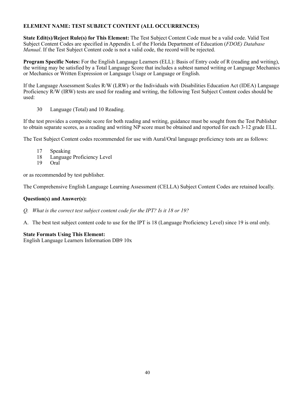# **ELEMENT NAME: TEST SUBJECT CONTENT (ALL OCCURRENCES)**

**State Edit(s)/Reject Rule(s) for This Element:** The Test Subject Content Code must be a valid code. Valid Test Subject Content Codes are specified in Appendix L of the Florida Department of Education (*FDOE) Database Manual*. If the Test Subject Content code is not a valid code, the record will be rejected.

**Program Specific Notes:** For the English Language Learners (ELL): Basis of Entry code of R (reading and writing), the writing may be satisfied by a Total Language Score that includes a subtest named writing or Language Mechanics or Mechanics or Written Expression or Language Usage or Language or English.

If the Language Assessment Scales R/W (LRW) or the Individuals with Disabilities Education Act (IDEA) Language Proficiency R/W (IRW) tests are used for reading and writing, the following Test Subject Content codes should be used:

30 Language (Total) and 10 Reading.

If the test provides a composite score for both reading and writing, guidance must be sought from the Test Publisher to obtain separate scores, as a reading and writing NP score must be obtained and reported for each 3-12 grade ELL.

The Test Subject Content codes recommended for use with Aural/Oral language proficiency tests are as follows:

- 17 Speaking
- 18 Language Proficiency Level
- 19 Oral

or as recommended by test publisher.

The Comprehensive English Language Learning Assessment (CELLA) Subject Content Codes are retained locally.

#### **Question(s) and Answer(s):**

- *Q. What is the correct test subject content code for the IPT? Is it 18 or 19?*
- A. The best test subject content code to use for the IPT is 18 (Language Proficiency Level) since 19 is oral only.

# **State Formats Using This Element:**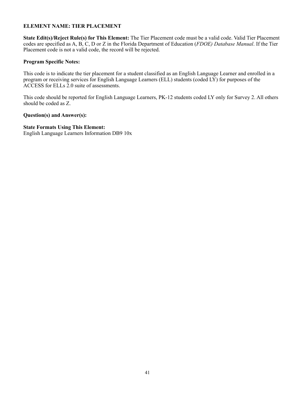# **ELEMENT NAME: TIER PLACEMENT**

**State Edit(s)/Reject Rule(s) for This Element:** The Tier Placement code must be a valid code. Valid Tier Placement codes are specified as A, B, C, D or Z in the Florida Department of Education (*FDOE) Database Manual*. If the Tier Placement code is not a valid code, the record will be rejected.

#### **Program Specific Notes:**

This code is to indicate the tier placement for a student classified as an English Language Learner and enrolled in a program or receiving services for English Language Learners (ELL) students (coded LY) for purposes of the ACCESS for ELLs 2.0 suite of assessments.

This code should be reported for English Language Learners, PK-12 students coded LY only for Survey 2. All others should be coded as Z.

#### **Question(s) and Answer(s):**

#### **State Formats Using This Element:**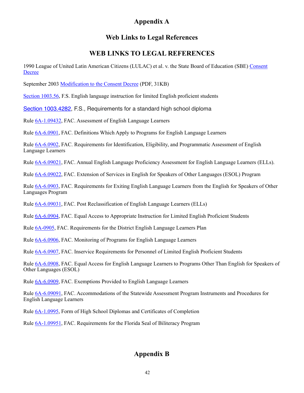# **Appendix A**

# **Web Links to Legal References**

# **WEB LINKS TO LEGAL REFERENCES**

1990 League of United Latin American Citizens (LULAC) et al. v. the State Board of Education (SBE) [Consent](http://www.fldoe.org/academics/eng-language-learners/consent-decree.stml)  [Decree](http://www.fldoe.org/academics/eng-language-learners/consent-decree.stml)

September 2003 [Modification to the Consent Decree](http://www.fldoe.org/academics/eng-language-learners/rules-legislation.stml) (PDF, 31KB)

[Section 1003.56](http://www.leg.state.fl.us/Statutes/index.cfm?App_mode=Display_Statute&Search_String=&URL=1000-1099/1003/Sections/1003.56.html), F.S. English language instruction for limited English proficient students

[Section 1003.4282,](http://www.leg.state.fl.us/Statutes/index.cfm?App_mode=Display_Statute&Search_String=&URL=1000-1099/1003/Sections/1003.4282.html) F.S., Requirements for a standard high school diploma

Rule [6A-1.09432](https://www.flrules.org/gateway/ruleNo.asp?id=6A-1.09432), FAC. Assessment of English Language Learners

Rule [6A-6.0901,](https://www.flrules.org/gateway/RuleNo.asp?title=SPECIAL%2520PROGRAMS%2520I&ID=6A-6.0901) FAC. Definitions Which Apply to Programs for English Language Learners

Rule [6A-6.0902,](https://www.flrules.org/gateway/RuleNo.asp?title=SPECIAL%2520PROGRAMS%2520I&ID=6A-6.0902) FAC. Requirements for Identification, Eligibility, and Programmatic Assessment of English Language Learners

Rule [6A-6.09021](https://www.flrules.org/gateway/RuleNo.asp?title=SPECIAL%2520PROGRAMS%2520I&ID=6A-6.09021), FAC. Annual English Language Proficiency Assessment for English Language Learners (ELLs).

Rule [6A-6.09022](https://www.flrules.org/gateway/RuleNo.asp?title=SPECIAL%2520PROGRAMS%2520I&ID=6A-6.09022), FAC. Extension of Services in English for Speakers of Other Languages (ESOL) Program

Rule [6A-6.0903,](https://www.flrules.org/gateway/RuleNo.asp?title=SPECIAL%2520PROGRAMS%2520I&ID=6A-6.0903) FAC. Requirements for Exiting English Language Learners from the English for Speakers of Other Languages Program

Rule [6A-6.09031](https://www.flrules.org/gateway/RuleNo.asp?title=SPECIAL%2520PROGRAMS%2520I&ID=6A-6.09031), FAC. Post Reclassification of English Language Learners (ELLs)

Rule [6A-6.0904,](https://www.flrules.org/gateway/RuleNo.asp?title=SPECIAL%2520PROGRAMS%2520I&ID=6A-6.0904) FAC. Equal Access to Appropriate Instruction for Limited English Proficient Students

Rule [6A-0905](https://www.flrules.org/gateway/RuleNo.asp?title=SPECIAL%2520PROGRAMS%2520I&ID=6A-6.0905), FAC. Requirements for the District English Language Learners Plan

Rule [6A-6.0906,](https://www.flrules.org/gateway/RuleNo.asp?title=SPECIAL%2520PROGRAMS%2520I&ID=6A-6.0906) FAC. Monitoring of Programs for English Language Learners

Rule [6A-6.0907,](https://www.flrules.org/gateway/RuleNo.asp?title=SPECIAL%2520PROGRAMS%2520I&ID=6A-6.0907) FAC. Inservice Requirements for Personnel of Limited English Proficient Students

Rule [6A-6.0908,](https://www.flrules.org/gateway/RuleNo.asp?title=SPECIAL%2520PROGRAMS%2520I&ID=6A-6.0908) FAC. Equal Access for English Language Learners to Programs Other Than English for Speakers of Other Languages (ESOL)

Rule [6A-6.0909,](https://www.flrules.org/gateway/RuleNo.asp?title=SPECIAL%2520PROGRAMS%2520I&ID=6A-6.0909) FAC. Exemptions Provided to English Language Learners

Rule [6A-6.09091](https://www.flrules.org/gateway/RuleNo.asp?title=SPECIAL%2520PROGRAMS%2520I&ID=6A-6.09091), FAC. Accommodations of the Statewide Assessment Program Instruments and Procedures for English Language Learners

Rule [6A-1.0995,](https://www.flrules.org/gateway/ruleno.asp?id=6A-1.0995) Form of High School Diplomas and Certificates of Completion

Rule [6A-1.09951](https://www.flrules.org/gateway/ruleNo.asp?id=6A-1.09951), FAC. Requirements for the Florida Seal of Biliteracy Program

# **Appendix B**